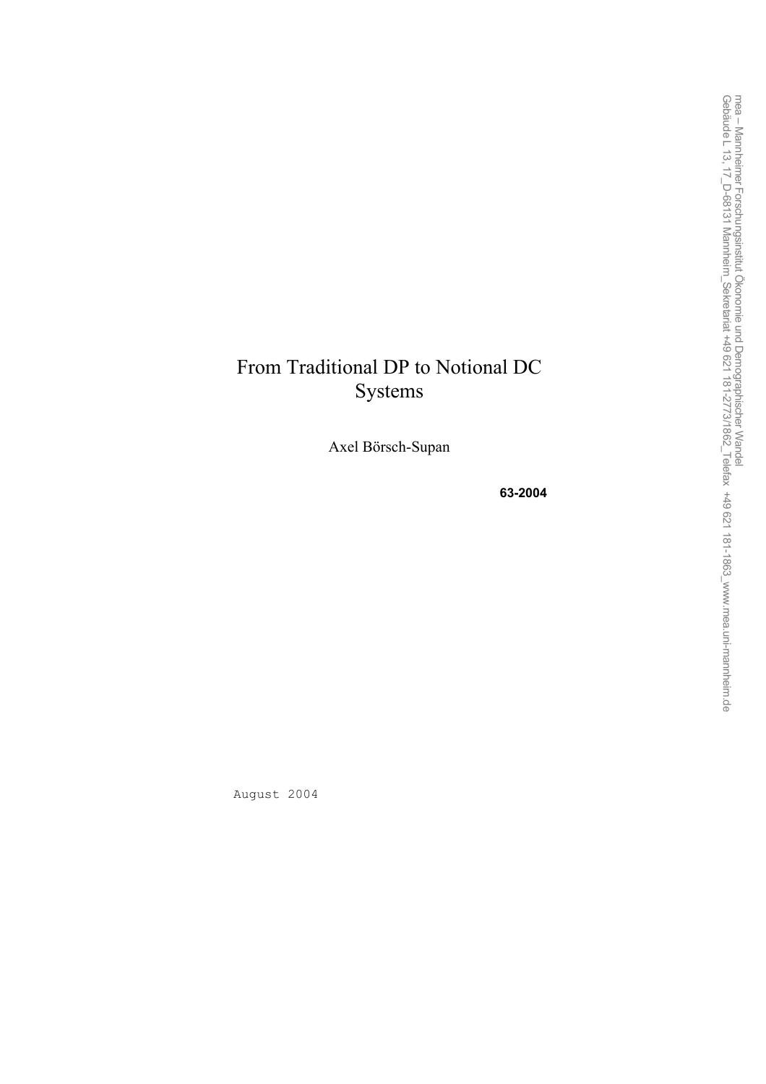# From Traditional DP to Notional DC Systems

Axel Börsch-Supan

**63-2004**

August 2004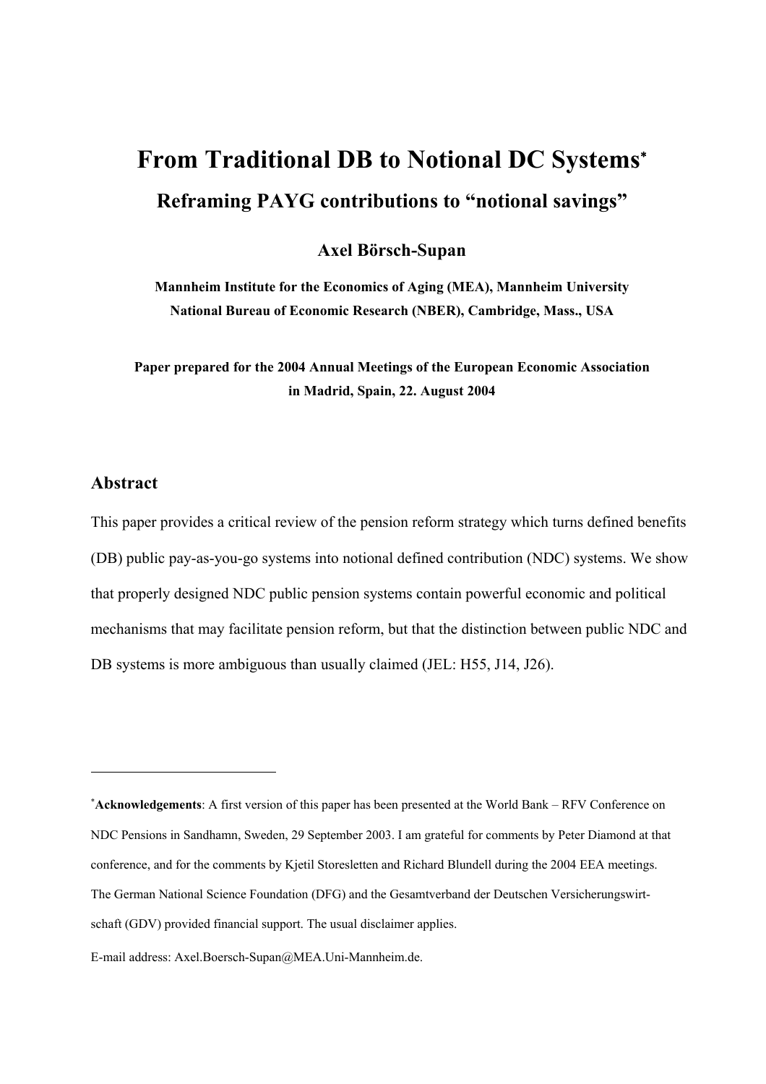# **From Traditional DB to Notional DC Systems**<sup>∗</sup> **Reframing PAYG contributions to "notional savings"**

**Axel Börsch-Supan** 

**Mannheim Institute for the Economics of Aging (MEA), Mannheim University National Bureau of Economic Research (NBER), Cambridge, Mass., USA** 

**Paper prepared for the 2004 Annual Meetings of the European Economic Association in Madrid, Spain, 22. August 2004** 

#### **Abstract**

 $\overline{a}$ 

This paper provides a critical review of the pension reform strategy which turns defined benefits (DB) public pay-as-you-go systems into notional defined contribution (NDC) systems. We show that properly designed NDC public pension systems contain powerful economic and political mechanisms that may facilitate pension reform, but that the distinction between public NDC and DB systems is more ambiguous than usually claimed (JEL: H55, J14, J26).

<sup>∗</sup> **Acknowledgements**: A first version of this paper has been presented at the World Bank – RFV Conference on NDC Pensions in Sandhamn, Sweden, 29 September 2003. I am grateful for comments by Peter Diamond at that conference, and for the comments by Kjetil Storesletten and Richard Blundell during the 2004 EEA meetings. The German National Science Foundation (DFG) and the Gesamtverband der Deutschen Versicherungswirtschaft (GDV) provided financial support. The usual disclaimer applies.

E-mail address: Axel.Boersch-Supan@MEA.Uni-Mannheim.de.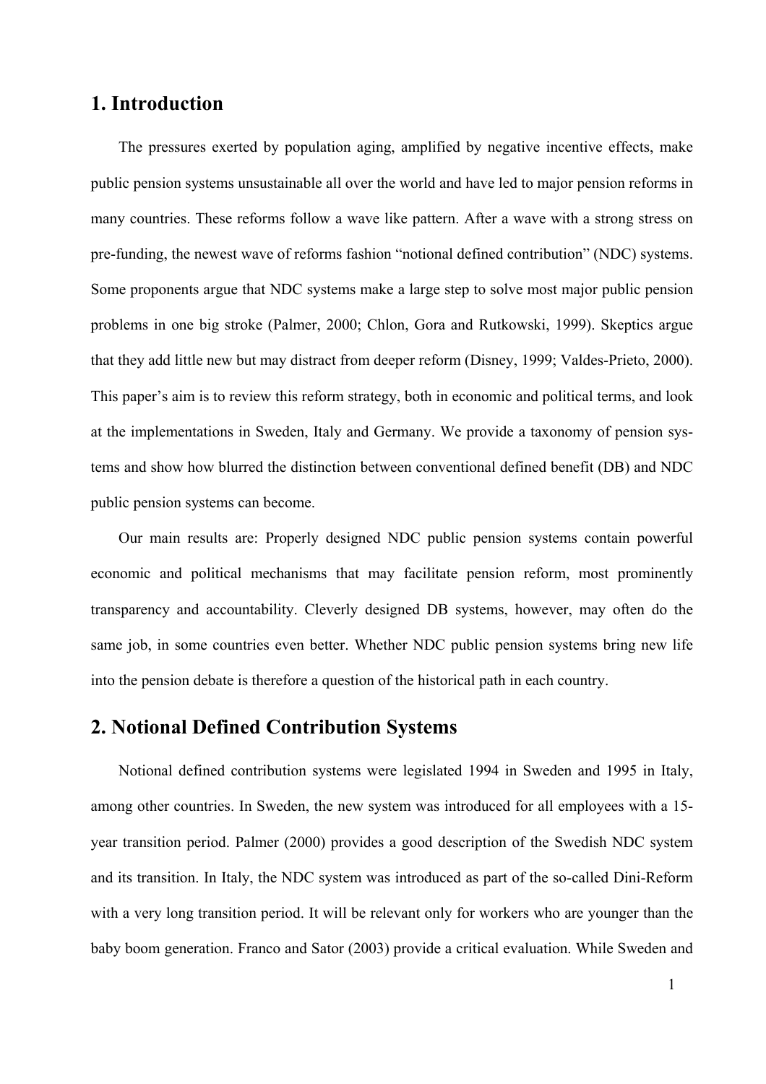### **1. Introduction**

The pressures exerted by population aging, amplified by negative incentive effects, make public pension systems unsustainable all over the world and have led to major pension reforms in many countries. These reforms follow a wave like pattern. After a wave with a strong stress on pre-funding, the newest wave of reforms fashion "notional defined contribution" (NDC) systems. Some proponents argue that NDC systems make a large step to solve most major public pension problems in one big stroke (Palmer, 2000; Chlon, Gora and Rutkowski, 1999). Skeptics argue that they add little new but may distract from deeper reform (Disney, 1999; Valdes-Prieto, 2000). This paper's aim is to review this reform strategy, both in economic and political terms, and look at the implementations in Sweden, Italy and Germany. We provide a taxonomy of pension systems and show how blurred the distinction between conventional defined benefit (DB) and NDC public pension systems can become.

Our main results are: Properly designed NDC public pension systems contain powerful economic and political mechanisms that may facilitate pension reform, most prominently transparency and accountability. Cleverly designed DB systems, however, may often do the same job, in some countries even better. Whether NDC public pension systems bring new life into the pension debate is therefore a question of the historical path in each country.

## **2. Notional Defined Contribution Systems**

Notional defined contribution systems were legislated 1994 in Sweden and 1995 in Italy, among other countries. In Sweden, the new system was introduced for all employees with a 15 year transition period. Palmer (2000) provides a good description of the Swedish NDC system and its transition. In Italy, the NDC system was introduced as part of the so-called Dini-Reform with a very long transition period. It will be relevant only for workers who are younger than the baby boom generation. Franco and Sator (2003) provide a critical evaluation. While Sweden and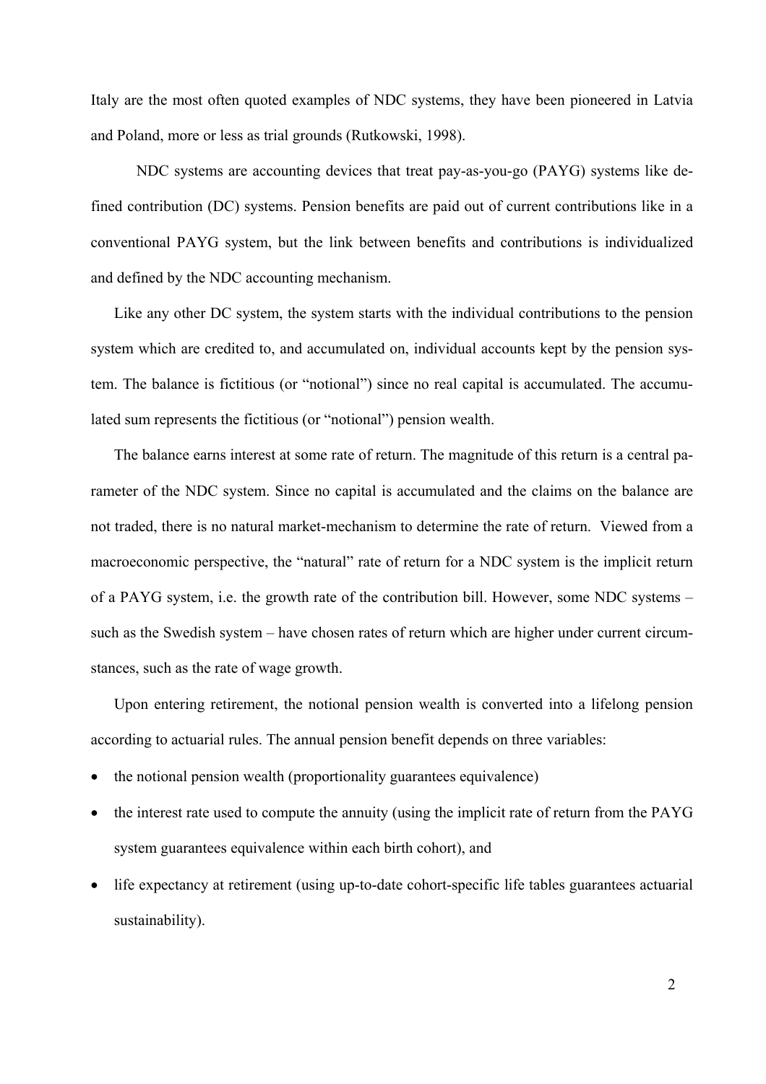Italy are the most often quoted examples of NDC systems, they have been pioneered in Latvia and Poland, more or less as trial grounds (Rutkowski, 1998).

NDC systems are accounting devices that treat pay-as-you-go (PAYG) systems like defined contribution (DC) systems. Pension benefits are paid out of current contributions like in a conventional PAYG system, but the link between benefits and contributions is individualized and defined by the NDC accounting mechanism.

Like any other DC system, the system starts with the individual contributions to the pension system which are credited to, and accumulated on, individual accounts kept by the pension system. The balance is fictitious (or "notional") since no real capital is accumulated. The accumulated sum represents the fictitious (or "notional") pension wealth.

The balance earns interest at some rate of return. The magnitude of this return is a central parameter of the NDC system. Since no capital is accumulated and the claims on the balance are not traded, there is no natural market-mechanism to determine the rate of return. Viewed from a macroeconomic perspective, the "natural" rate of return for a NDC system is the implicit return of a PAYG system, i.e. the growth rate of the contribution bill. However, some NDC systems – such as the Swedish system – have chosen rates of return which are higher under current circumstances, such as the rate of wage growth.

Upon entering retirement, the notional pension wealth is converted into a lifelong pension according to actuarial rules. The annual pension benefit depends on three variables:

- the notional pension wealth (proportionality guarantees equivalence)
- the interest rate used to compute the annuity (using the implicit rate of return from the PAYG system guarantees equivalence within each birth cohort), and
- life expectancy at retirement (using up-to-date cohort-specific life tables guarantees actuarial sustainability).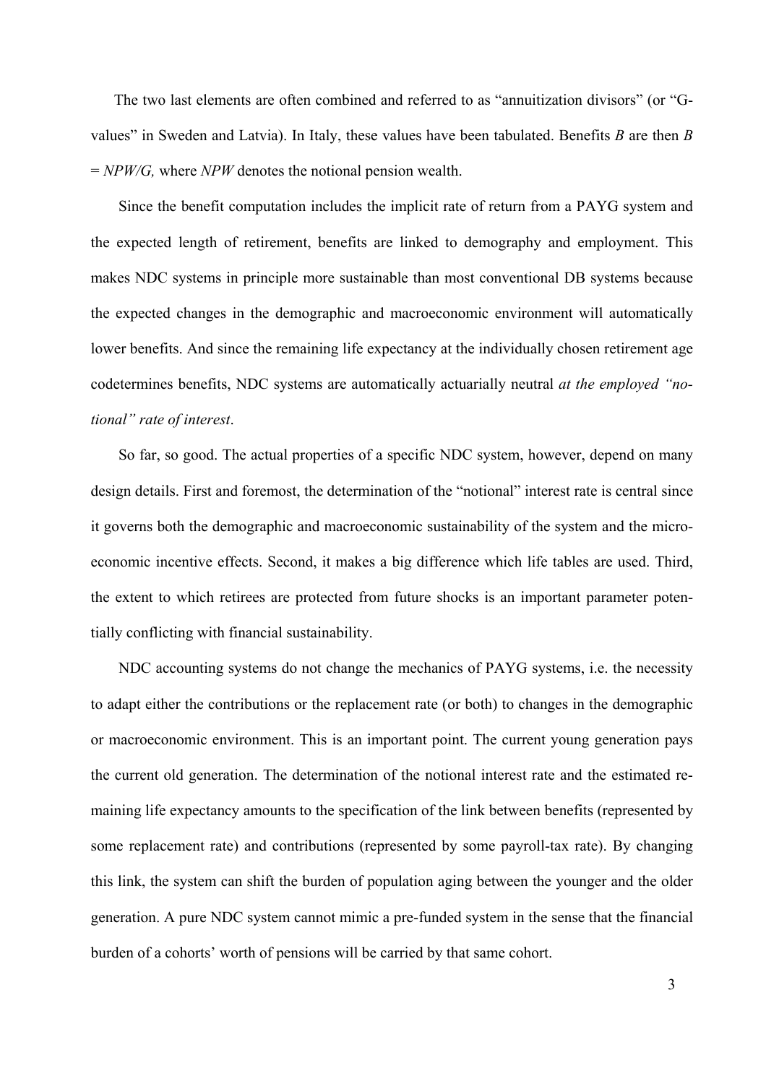The two last elements are often combined and referred to as "annuitization divisors" (or "Gvalues" in Sweden and Latvia). In Italy, these values have been tabulated. Benefits *B* are then *B* = *NPW/G,* where *NPW* denotes the notional pension wealth.

Since the benefit computation includes the implicit rate of return from a PAYG system and the expected length of retirement, benefits are linked to demography and employment. This makes NDC systems in principle more sustainable than most conventional DB systems because the expected changes in the demographic and macroeconomic environment will automatically lower benefits. And since the remaining life expectancy at the individually chosen retirement age codetermines benefits, NDC systems are automatically actuarially neutral *at the employed "notional" rate of interest*.

So far, so good. The actual properties of a specific NDC system, however, depend on many design details. First and foremost, the determination of the "notional" interest rate is central since it governs both the demographic and macroeconomic sustainability of the system and the microeconomic incentive effects. Second, it makes a big difference which life tables are used. Third, the extent to which retirees are protected from future shocks is an important parameter potentially conflicting with financial sustainability.

NDC accounting systems do not change the mechanics of PAYG systems, i.e. the necessity to adapt either the contributions or the replacement rate (or both) to changes in the demographic or macroeconomic environment. This is an important point. The current young generation pays the current old generation. The determination of the notional interest rate and the estimated remaining life expectancy amounts to the specification of the link between benefits (represented by some replacement rate) and contributions (represented by some payroll-tax rate). By changing this link, the system can shift the burden of population aging between the younger and the older generation. A pure NDC system cannot mimic a pre-funded system in the sense that the financial burden of a cohorts' worth of pensions will be carried by that same cohort.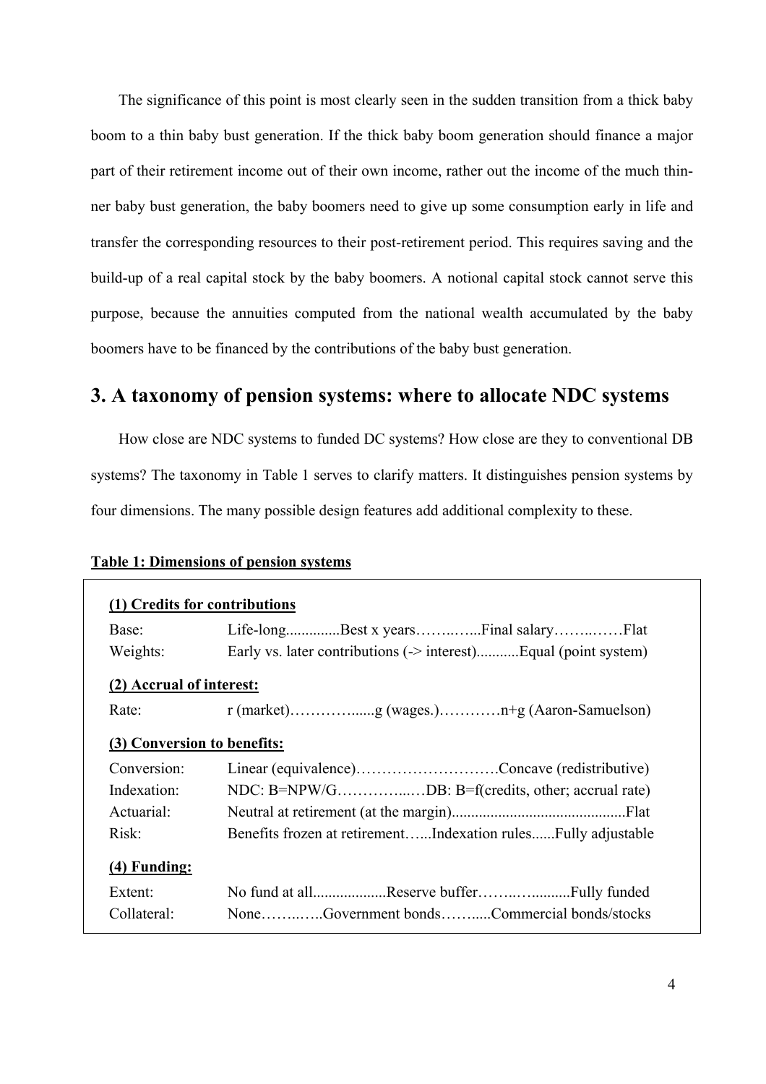The significance of this point is most clearly seen in the sudden transition from a thick baby boom to a thin baby bust generation. If the thick baby boom generation should finance a major part of their retirement income out of their own income, rather out the income of the much thinner baby bust generation, the baby boomers need to give up some consumption early in life and transfer the corresponding resources to their post-retirement period. This requires saving and the build-up of a real capital stock by the baby boomers. A notional capital stock cannot serve this purpose, because the annuities computed from the national wealth accumulated by the baby boomers have to be financed by the contributions of the baby bust generation.

## **3. A taxonomy of pension systems: where to allocate NDC systems**

How close are NDC systems to funded DC systems? How close are they to conventional DB systems? The taxonomy in Table 1 serves to clarify matters. It distinguishes pension systems by four dimensions. The many possible design features add additional complexity to these.

| Base:                       |                                                                 |
|-----------------------------|-----------------------------------------------------------------|
| Weights:                    | Early vs. later contributions (-> interest)Equal (point system) |
| (2) Accrual of interest:    |                                                                 |
| Rate:                       |                                                                 |
| (3) Conversion to benefits: |                                                                 |
| Conversion:                 | Linear (equivalence)Concave (redistributive)                    |
| Indexation:                 | NDC: B=NPW/GDB: B=f(credits, other; accrual rate)               |
| Actuarial:                  |                                                                 |
| Risk:                       | Benefits frozen at retirementIndexation rulesFully adjustable   |
| (4) Funding:                |                                                                 |
| Extent:                     |                                                                 |
| Collateral:                 | NoneGovernment bondsCommercial bonds/stocks                     |

#### **Table 1: Dimensions of pension systems**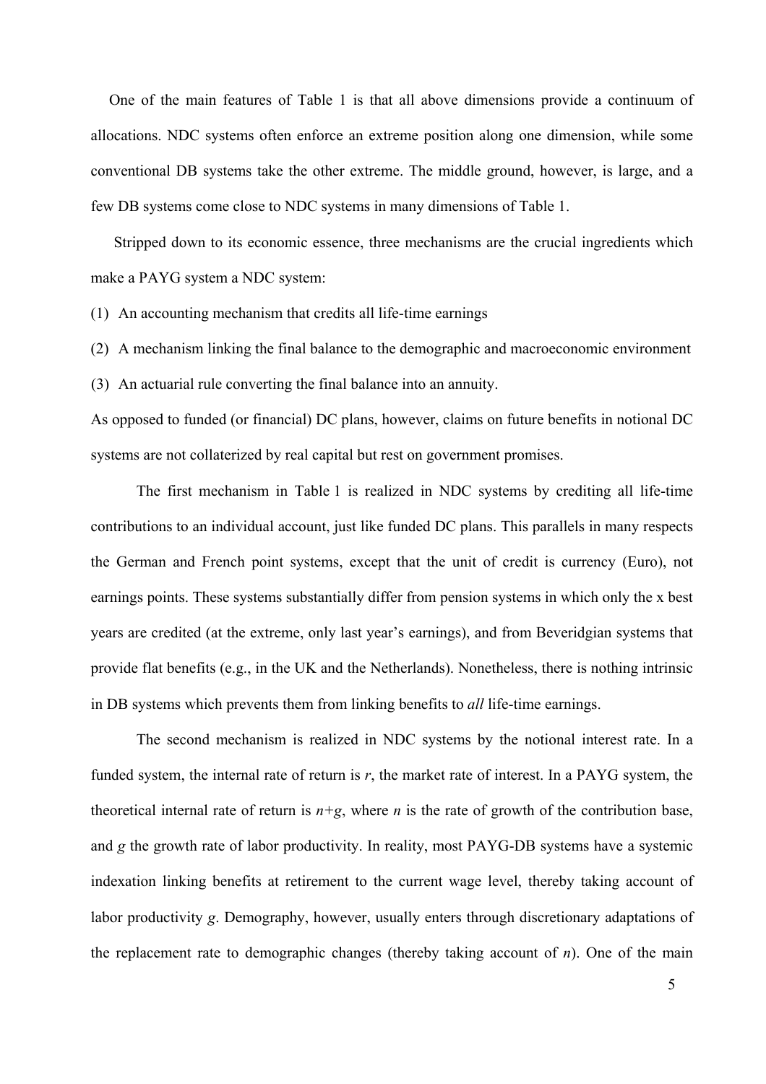One of the main features of Table 1 is that all above dimensions provide a continuum of allocations. NDC systems often enforce an extreme position along one dimension, while some conventional DB systems take the other extreme. The middle ground, however, is large, and a few DB systems come close to NDC systems in many dimensions of Table 1.

Stripped down to its economic essence, three mechanisms are the crucial ingredients which make a PAYG system a NDC system:

(1) An accounting mechanism that credits all life-time earnings

(2) A mechanism linking the final balance to the demographic and macroeconomic environment

(3) An actuarial rule converting the final balance into an annuity.

As opposed to funded (or financial) DC plans, however, claims on future benefits in notional DC systems are not collaterized by real capital but rest on government promises.

The first mechanism in Table 1 is realized in NDC systems by crediting all life-time contributions to an individual account, just like funded DC plans. This parallels in many respects the German and French point systems, except that the unit of credit is currency (Euro), not earnings points. These systems substantially differ from pension systems in which only the x best years are credited (at the extreme, only last year's earnings), and from Beveridgian systems that provide flat benefits (e.g., in the UK and the Netherlands). Nonetheless, there is nothing intrinsic in DB systems which prevents them from linking benefits to *all* life-time earnings.

The second mechanism is realized in NDC systems by the notional interest rate. In a funded system, the internal rate of return is *r*, the market rate of interest. In a PAYG system, the theoretical internal rate of return is  $n+g$ , where *n* is the rate of growth of the contribution base, and *g* the growth rate of labor productivity. In reality, most PAYG-DB systems have a systemic indexation linking benefits at retirement to the current wage level, thereby taking account of labor productivity *g*. Demography, however, usually enters through discretionary adaptations of the replacement rate to demographic changes (thereby taking account of *n*). One of the main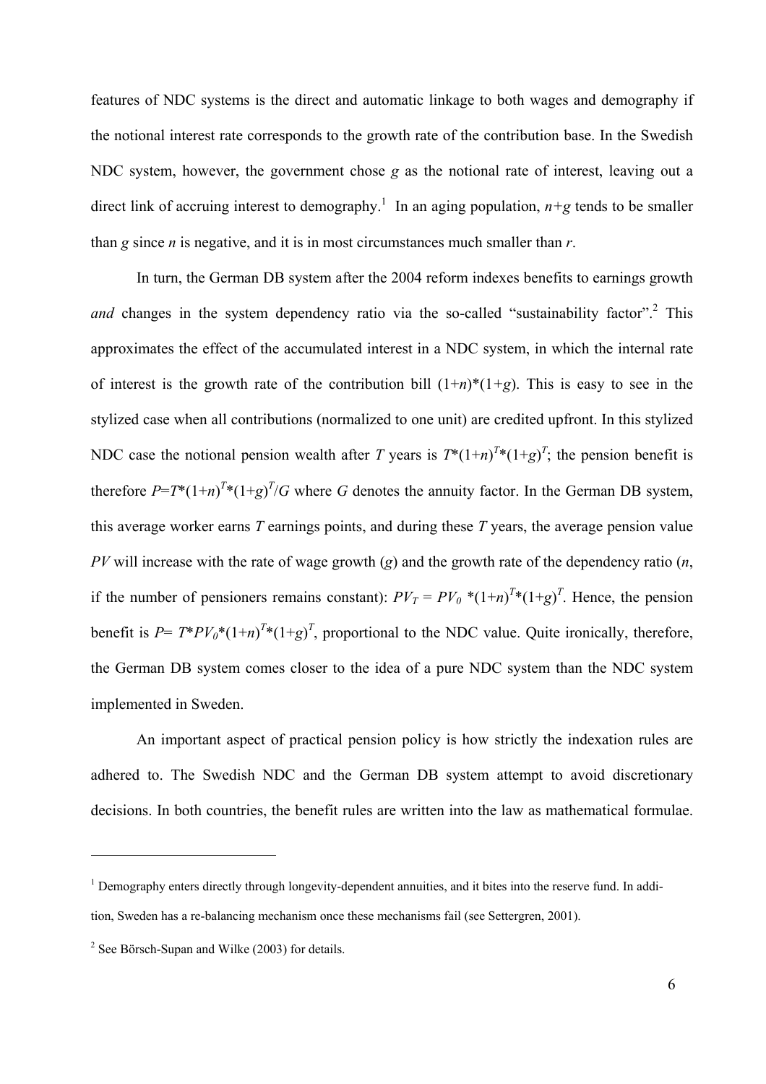features of NDC systems is the direct and automatic linkage to both wages and demography if the notional interest rate corresponds to the growth rate of the contribution base. In the Swedish NDC system, however, the government chose *g* as the notional rate of interest, leaving out a direct link of accruing interest to demography.<sup>1</sup> In an aging population,  $n+g$  tends to be smaller than *g* since *n* is negative, and it is in most circumstances much smaller than *r*.

In turn, the German DB system after the 2004 reform indexes benefits to earnings growth and changes in the system dependency ratio via the so-called "sustainability factor".<sup>2</sup> This approximates the effect of the accumulated interest in a NDC system, in which the internal rate of interest is the growth rate of the contribution bill  $(1+n)*(1+g)$ . This is easy to see in the stylized case when all contributions (normalized to one unit) are credited upfront. In this stylized NDC case the notional pension wealth after *T* years is  $T^*(1+n)^{T^*}(1+g)^{T}$ ; the pension benefit is therefore  $P=T^*(1+n)^{T^*}(1+g)^{T/G}$  where *G* denotes the annuity factor. In the German DB system, this average worker earns *T* earnings points, and during these *T* years, the average pension value *PV* will increase with the rate of wage growth (*g*) and the growth rate of the dependency ratio (*n*, if the number of pensioners remains constant):  $PV_T = PV_0 * (1+n)^{T} * (1+g)^{T}$ . Hence, the pension benefit is  $P = T^*PV_0^*(1+n)^{T^*}(1+g)^{T}$ , proportional to the NDC value. Quite ironically, therefore, the German DB system comes closer to the idea of a pure NDC system than the NDC system implemented in Sweden.

An important aspect of practical pension policy is how strictly the indexation rules are adhered to. The Swedish NDC and the German DB system attempt to avoid discretionary decisions. In both countries, the benefit rules are written into the law as mathematical formulae.

 $\overline{a}$ 

<sup>&</sup>lt;sup>1</sup> Demography enters directly through longevity-dependent annuities, and it bites into the reserve fund. In addi-

tion, Sweden has a re-balancing mechanism once these mechanisms fail (see Settergren, 2001).

 $2$  See Börsch-Supan and Wilke (2003) for details.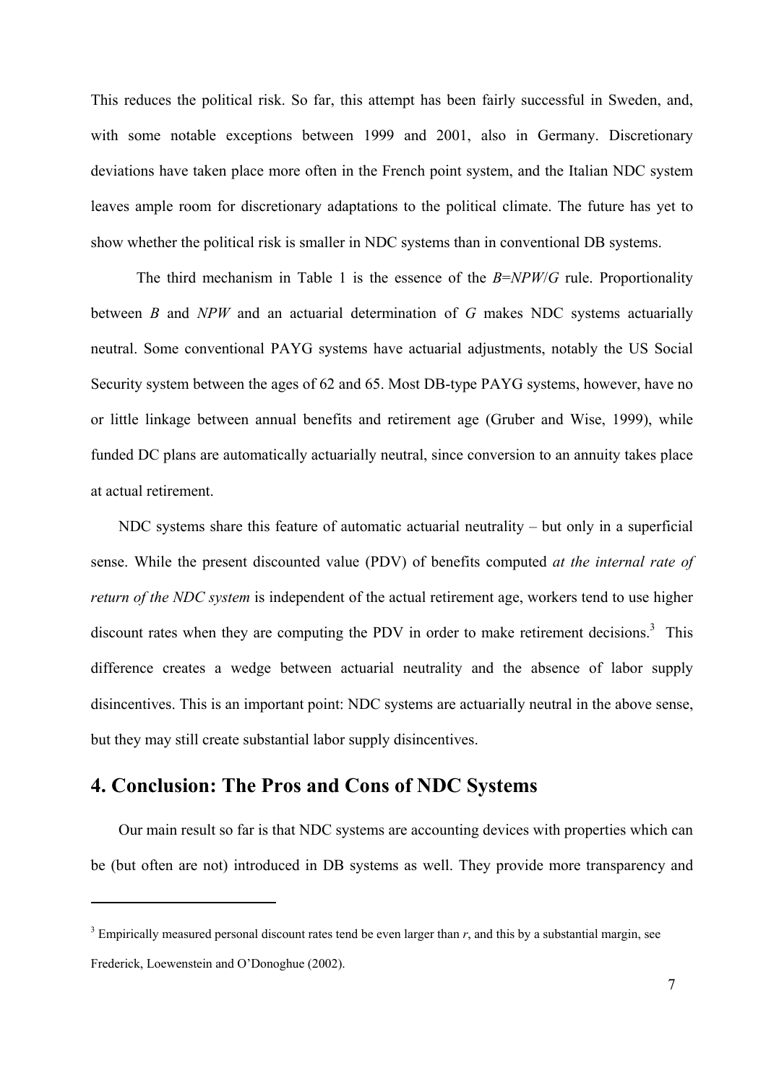This reduces the political risk. So far, this attempt has been fairly successful in Sweden, and, with some notable exceptions between 1999 and 2001, also in Germany. Discretionary deviations have taken place more often in the French point system, and the Italian NDC system leaves ample room for discretionary adaptations to the political climate. The future has yet to show whether the political risk is smaller in NDC systems than in conventional DB systems.

The third mechanism in Table 1 is the essence of the *B*=*NPW*/*G* rule. Proportionality between *B* and *NPW* and an actuarial determination of *G* makes NDC systems actuarially neutral. Some conventional PAYG systems have actuarial adjustments, notably the US Social Security system between the ages of 62 and 65. Most DB-type PAYG systems, however, have no or little linkage between annual benefits and retirement age (Gruber and Wise, 1999), while funded DC plans are automatically actuarially neutral, since conversion to an annuity takes place at actual retirement.

NDC systems share this feature of automatic actuarial neutrality – but only in a superficial sense. While the present discounted value (PDV) of benefits computed *at the internal rate of return of the NDC system* is independent of the actual retirement age, workers tend to use higher discount rates when they are computing the PDV in order to make retirement decisions.<sup>3</sup> This difference creates a wedge between actuarial neutrality and the absence of labor supply disincentives. This is an important point: NDC systems are actuarially neutral in the above sense, but they may still create substantial labor supply disincentives.

## **4. Conclusion: The Pros and Cons of NDC Systems**

 $\overline{a}$ 

Our main result so far is that NDC systems are accounting devices with properties which can be (but often are not) introduced in DB systems as well. They provide more transparency and

<sup>&</sup>lt;sup>3</sup> Empirically measured personal discount rates tend be even larger than  $r$ , and this by a substantial margin, see Frederick, Loewenstein and O'Donoghue (2002).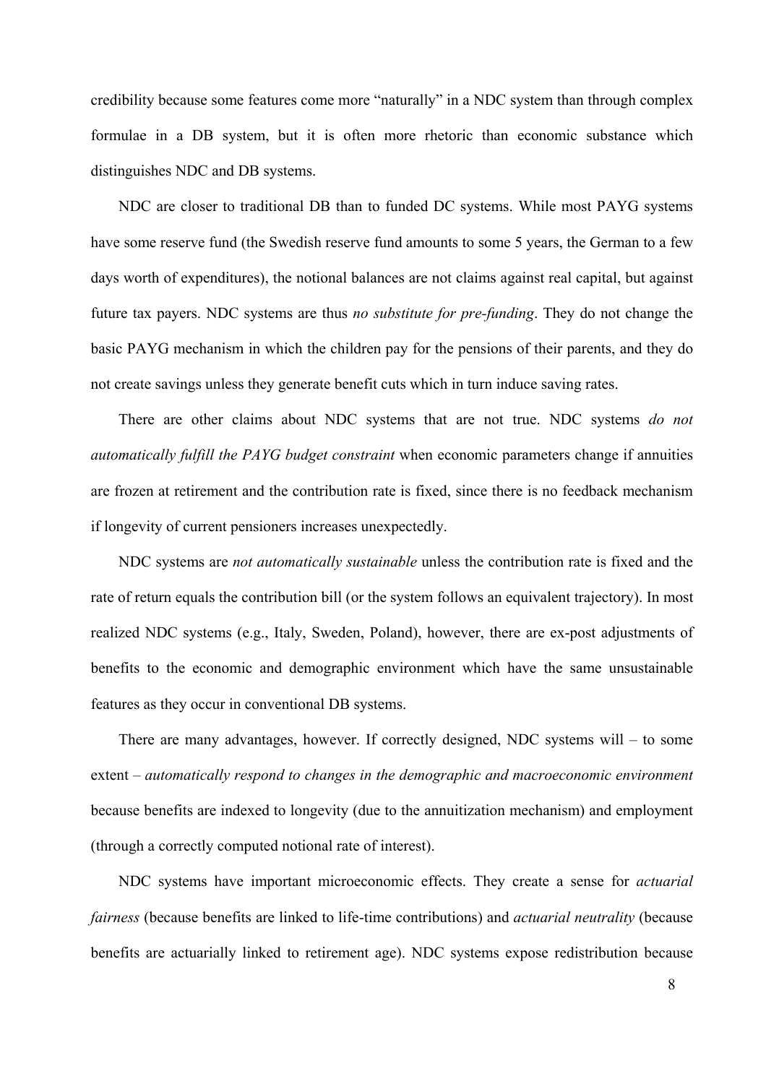credibility because some features come more "naturally" in a NDC system than through complex formulae in a DB system, but it is often more rhetoric than economic substance which distinguishes NDC and DB systems.

NDC are closer to traditional DB than to funded DC systems. While most PAYG systems have some reserve fund (the Swedish reserve fund amounts to some 5 years, the German to a few days worth of expenditures), the notional balances are not claims against real capital, but against future tax payers. NDC systems are thus *no substitute for pre-funding*. They do not change the basic PAYG mechanism in which the children pay for the pensions of their parents, and they do not create savings unless they generate benefit cuts which in turn induce saving rates.

There are other claims about NDC systems that are not true. NDC systems *do not automatically fulfill the PAYG budget constraint* when economic parameters change if annuities are frozen at retirement and the contribution rate is fixed, since there is no feedback mechanism if longevity of current pensioners increases unexpectedly.

NDC systems are *not automatically sustainable* unless the contribution rate is fixed and the rate of return equals the contribution bill (or the system follows an equivalent trajectory). In most realized NDC systems (e.g., Italy, Sweden, Poland), however, there are ex-post adjustments of benefits to the economic and demographic environment which have the same unsustainable features as they occur in conventional DB systems.

There are many advantages, however. If correctly designed, NDC systems will – to some extent – *automatically respond to changes in the demographic and macroeconomic environment*  because benefits are indexed to longevity (due to the annuitization mechanism) and employment (through a correctly computed notional rate of interest).

NDC systems have important microeconomic effects. They create a sense for *actuarial fairness* (because benefits are linked to life-time contributions) and *actuarial neutrality* (because benefits are actuarially linked to retirement age). NDC systems expose redistribution because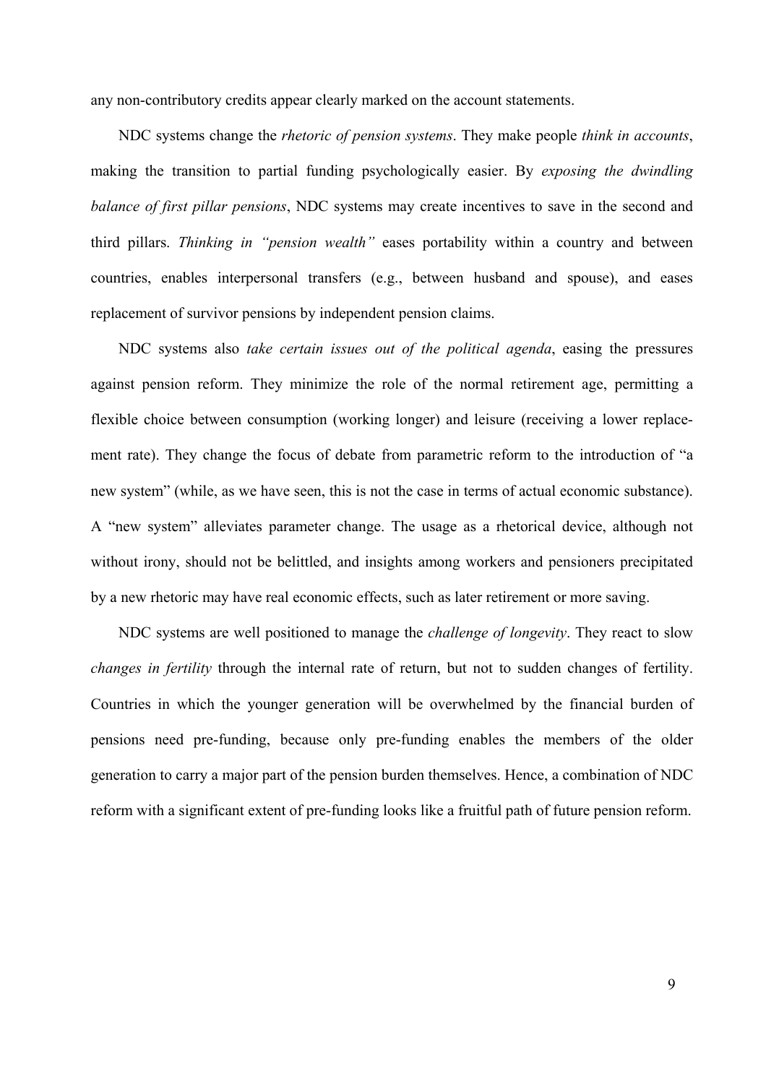any non-contributory credits appear clearly marked on the account statements.

NDC systems change the *rhetoric of pension systems*. They make people *think in accounts*, making the transition to partial funding psychologically easier. By *exposing the dwindling balance of first pillar pensions*, NDC systems may create incentives to save in the second and third pillars. *Thinking in "pension wealth"* eases portability within a country and between countries, enables interpersonal transfers (e.g., between husband and spouse), and eases replacement of survivor pensions by independent pension claims.

NDC systems also *take certain issues out of the political agenda*, easing the pressures against pension reform. They minimize the role of the normal retirement age, permitting a flexible choice between consumption (working longer) and leisure (receiving a lower replacement rate). They change the focus of debate from parametric reform to the introduction of "a new system" (while, as we have seen, this is not the case in terms of actual economic substance). A "new system" alleviates parameter change. The usage as a rhetorical device, although not without irony, should not be belittled, and insights among workers and pensioners precipitated by a new rhetoric may have real economic effects, such as later retirement or more saving.

NDC systems are well positioned to manage the *challenge of longevity*. They react to slow *changes in fertility* through the internal rate of return, but not to sudden changes of fertility. Countries in which the younger generation will be overwhelmed by the financial burden of pensions need pre-funding, because only pre-funding enables the members of the older generation to carry a major part of the pension burden themselves. Hence, a combination of NDC reform with a significant extent of pre-funding looks like a fruitful path of future pension reform.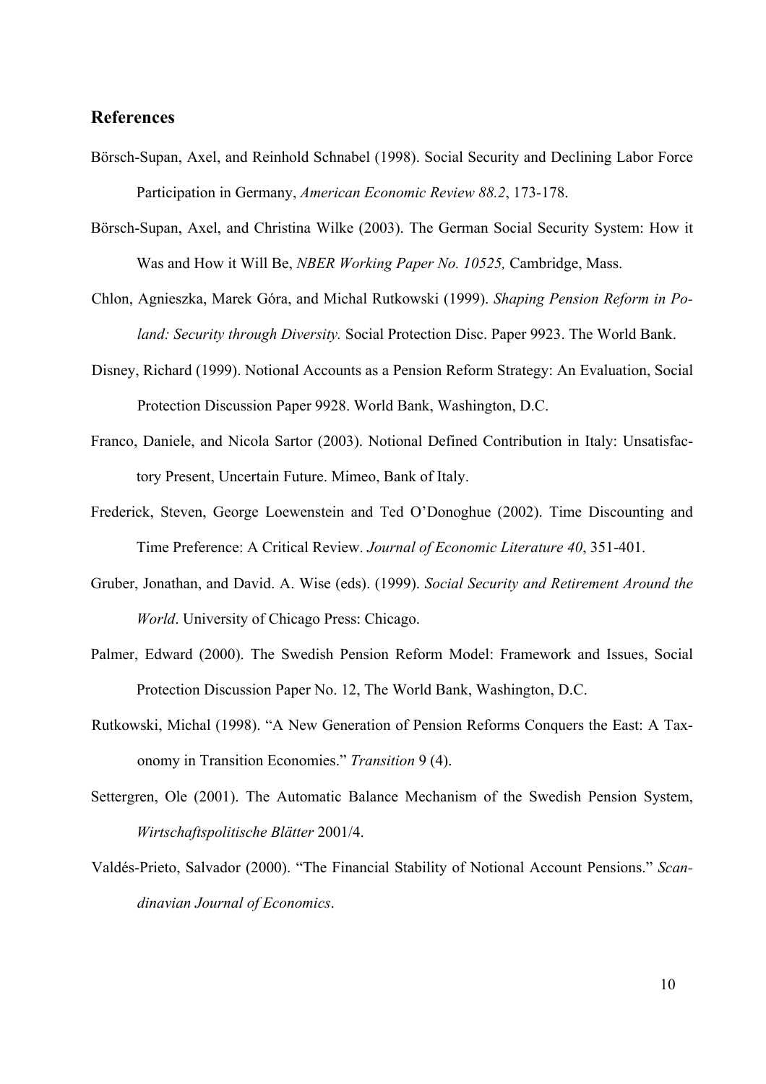#### **References**

- Börsch-Supan, Axel, and Reinhold Schnabel (1998). Social Security and Declining Labor Force Participation in Germany, *American Economic Review 88.2*, 173-178.
- Börsch-Supan, Axel, and Christina Wilke (2003). The German Social Security System: How it Was and How it Will Be, *NBER Working Paper No. 10525,* Cambridge, Mass.
- Chlon, Agnieszka, Marek Góra, and Michal Rutkowski (1999). *Shaping Pension Reform in Poland: Security through Diversity.* Social Protection Disc. Paper 9923. The World Bank.
- Disney, Richard (1999). Notional Accounts as a Pension Reform Strategy: An Evaluation, Social Protection Discussion Paper 9928. World Bank, Washington, D.C.
- Franco, Daniele, and Nicola Sartor (2003). Notional Defined Contribution in Italy: Unsatisfactory Present, Uncertain Future. Mimeo, Bank of Italy.
- Frederick, Steven, George Loewenstein and Ted O'Donoghue (2002). Time Discounting and Time Preference: A Critical Review. *Journal of Economic Literature 40*, 351-401.
- Gruber, Jonathan, and David. A. Wise (eds). (1999). *Social Security and Retirement Around the World*. University of Chicago Press: Chicago.
- Palmer, Edward (2000). The Swedish Pension Reform Model: Framework and Issues, Social Protection Discussion Paper No. 12, The World Bank, Washington, D.C.
- Rutkowski, Michal (1998). "A New Generation of Pension Reforms Conquers the East: A Taxonomy in Transition Economies." *Transition* 9 (4).
- Settergren, Ole (2001). The Automatic Balance Mechanism of the Swedish Pension System, *Wirtschaftspolitische Blätter* 2001/4.
- Valdés-Prieto, Salvador (2000). "The Financial Stability of Notional Account Pensions." *Scandinavian Journal of Economics*.